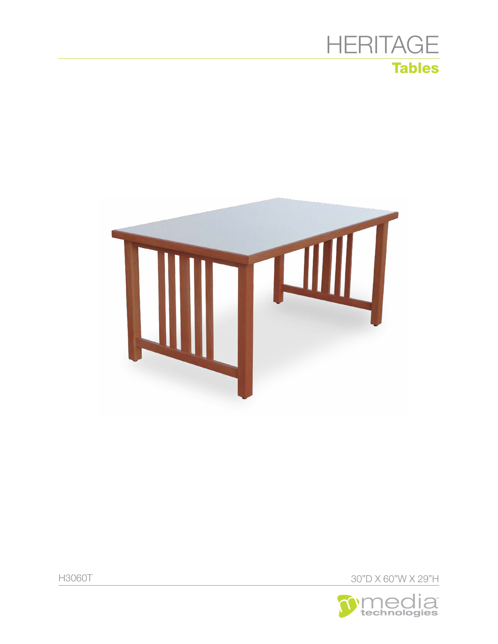





30"D X 60"W X 29"H

**H3060T**